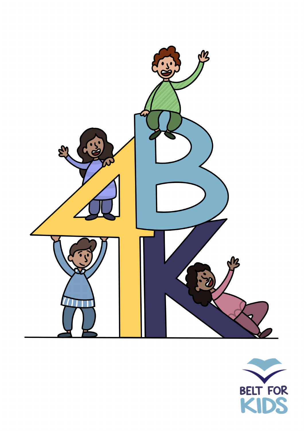

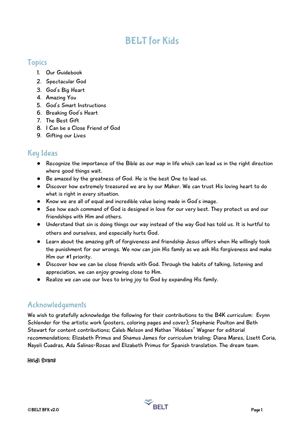### BELT for Kids

### Topics

- 1. Our Guidebook
- 2. Spectacular God
- 3. God's Big Heart
- 4. Amazing You
- 5. God's Smart Instructions
- 6. Breaking God's Heart
- 7. The Best Gift
- 8. I Can be a Close Friend of God
- 9. Gifting our Lives

### Key Ideas

- Recognize the importance of the Bible as our map in life which can lead us in the right direction where good things wait.
- Be amazed by the greatness of God. He is the best One to lead us.
- Discover how extremely treasured we are by our Maker. We can trust His loving heart to do what is right in every situation.
- Know we are all of equal and incredible value being made in God's image.
- See how each command of God is designed in love for our very best. They protect us and our friendships with Him and others.
- Understand that sin is doing things our way instead of the way God has told us. It is hurtful to others and ourselves, and especially hurts God.
- Learn about the amazing gift of forgiveness and friendship Jesus offers when He willingly took the punishment for our wrongs. We now can join His family as we ask His forgiveness and make Him our #1 priority.
- Discover how we can be close friends with God. Through the habits of talking, listening and appreciation, we can enjoy growing close to Him.
- Realize we can use our lives to bring joy to God by expanding His family.

### Acknowledgements

We wish to gratefully acknowledge the following for their contributions to the B4K curriculum: Evynn Schlender for the artistic work (posters, coloring pages and cover); Stephanie Poulton and Beth Stewart for content contributions; Caleb Nelson and Nathan "Hobbes" Wagner for editorial recommendations; Elizabeth Primus and Shamus James for curriculum trialing; Diana Mares, Lisett Coria, Nayeli Cuadras, Ada Salinas-Rosas and Elizabeth Primus for Spanish translation. The dream team.

### Heidi Evans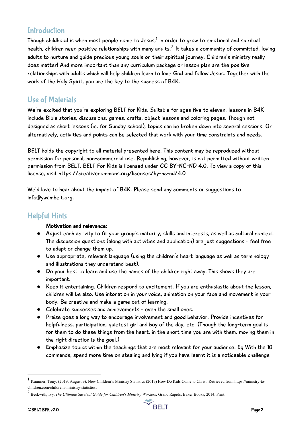### **Introduction**

Though childhood is when most people come to Jesus, $^{\rm 1}$  in order to grow to emotional and spiritual health, children need positive relationships with many adults. $^{\mathsf{2}}$  It takes a community of committed, loving adults to nurture and guide precious young souls on their spiritual journey. Children's ministry really does matter! And more important than any curriculum package or lesson plan are the positive relationships with adults which will help children learn to love God and follow Jesus. Together with the work of the Holy Spirit, you are the key to the success of B4K.

### Use of Materials

We're excited that you're exploring BELT for Kids. Suitable for ages five to eleven, lessons in B4K include Bible stories, discussions, games, crafts, object lessons and coloring pages. Though not designed as short lessons (ie. for Sunday school), topics can be broken down into several sessions. Or alternatively, activities and points can be selected that work with your time constraints and needs.

BELT holds the copyright to all material presented here. This content may be reproduced without permission for personal, non-commercial use. Republishing, however, is not permitted without written permission from BELT. BELT For Kids is licensed under CC BY-NC-ND 4.0. To view a copy of this license, visit https://creativecommons.org/licenses/by-nc-nd/4.0

We'd love to hear about the impact of B4K. Please send any comments or suggestions to info@ywambelt.org.

### Helpful Hints

### Motivation and relevance:

- Adjust each activity to fit your group's maturity, skills and interests, as well as cultural context. The discussion questions (along with activities and application) are just suggestions - feel free to adapt or change them up.
- Use appropriate, relevant language (using the children's heart language as well as terminology and illustrations they understand best).
- Do your best to learn and use the names of the children right away. This shows they are important.
- Keep it entertaining. Children respond to excitement. If you are enthusiastic about the lesson, children will be also. Use intonation in your voice, animation on your face and movement in your body. Be creative and make a game out of learning.
- Celebrate successes and achievements even the small ones.
- Praise goes a long way to encourage involvement and good behavior. Provide incentives for helpfulness, participation, quietest girl and boy of the day, etc. (Though the long-term goal is for them to do these things from the heart, in the short time you are with them, moving them in the right direction is the goal.)
- Emphasize topics within the teachings that are most relevant for your audience. Eg With the 10 commands, spend more time on stealing and lying if you have learnt it is a noticeable challenge



 <sup>1</sup> Kummer, Tony. (2019, August 9). New Children's Ministry Statistics (2019) How Do Kids Come to Christ. Retrieved from https://ministry-tochildren.com/childrens-ministry-statistics.

<sup>2</sup> Beckwith, Ivy. *The Ultimate Survival Guide for Children's Ministry Workers.* Grand Rapids: Baker Books, 2014. Print.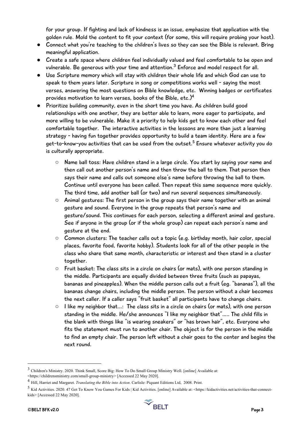for your group. If fighting and lack of kindness is an issue, emphasize that application with the golden rule. Mold the content to fit your context (for some, this will require probing your host).

- Connect what you're teaching to the children's lives so they can see the Bible is relevant. Bring meaningful application.
- Create a safe space where children feel individually valued and feel comfortable to be open and vulnerable. Be generous with your time and attention.<sup>3</sup> Enforce and model respect for all.
- Use Scripture memory which will stay with children their whole life and which God can use to speak to them years later. Scripture in song or competitions works well - saying the most verses, answering the most questions on Bible knowledge, etc. Winning badges or certificates provides motivation to learn verses, books of the Bible, etc.)<sup>4</sup>
- Prioritize building community, even in the short time you have. As children build good relationships with one another, they are better able to learn, more eager to participate, and more willing to be vulnerable. Make it a priority to help kids get to know each other and feel comfortable together. The interactive activities in the lessons are more than just a learning strategy - having fun together provides opportunity to build a team identity. Here are a few get-to-know-you activities that can be used from the outset.<sup>5</sup> Ensure whatever activity you do is culturally appropriate.
	- Name ball toss: Have children stand in a large circle. You start by saying your name and then call out another person's name and then throw the ball to them. That person then says their name and calls out someone else's name before throwing the ball to them. Continue until everyone has been called. Then repeat this same sequence more quickly. The third time, add another ball (or two) and run several sequences simultaneously.
	- Animal gestures: The first person in the group says their name together with an animal gesture and sound. Everyone in the group repeats that person's name and gesture/sound. This continues for each person, selecting a different animal and gesture. See if anyone in the group (or if the whole group) can repeat each person's name and gesture at the end.
	- Common clusters: The teacher calls out a topic (e.g. birthday month, hair color, special places, favorite food, favorite hobby). Students look for all of the other people in the class who share that same month, characteristic or interest and then stand in a cluster together.
	- Fruit basket: The class sits in a circle on chairs (or mats), with one person standing in the middle. Participants are equally divided between three fruits (such as papayas, bananas and pineapples). When the middle person calls out a fruit (eg. "bananas"), all the bananas change chairs, including the middle person. The person without a chair becomes the next caller. If a caller says "fruit basket" all participants have to change chairs.
	- I like my neighbor that...: The class sits in a circle on chairs (or mats), with one person standing in the middle. He/she announces "I like my neighbor that"….. The child fills in the blank with things like "is wearing sneakers" or "has brown hair", etc. Everyone who fits the statement must run to another chair. The object is for the person in the middle to find an empty chair. The person left without a chair goes to the center and begins the next round.

 <sup>3</sup> Children's Ministry. 2020. Think Small, Score Big: How To Do Small Group Ministry Well. [online] Available at: <https://childrensministry.com/small-group-ministry> [Accessed 22 May 2020].

<sup>4</sup> Hill, Harriet and Margaret. *Translating the Bible into Action*. Carlisle: Piquant Editions Ltd, 2008. Print.

<sup>5</sup> Kid Activities. 2020. 47 Get To Know You Games For Kids | Kid Activities. [online] Available at: <https://kidactivities.net/activities-that-connectkids> [Accessed 22 May 2020].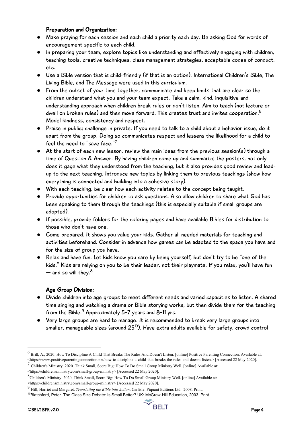#### Preparation and Organization:

- Make praying for each session and each child a priority each day. Be asking God for words of encouragement specific to each child.
- In preparing your team, explore topics like understanding and effectively engaging with children, teaching tools, creative techniques, class management strategies, acceptable codes of conduct, etc.
- Use a Bible version that is child-friendly (if that is an option). International Children's Bible, The Living Bible, and The Message were used in this curriculum.
- From the outset of your time together, communicate and keep limits that are clear so the children understand what you and your team expect. Take a calm, kind, inquisitive and understanding approach when children break rules or don't listen. Aim to teach (not lecture or dwell on broken rules) and then move forward. This creates trust and invites cooperation.<sup>6</sup> Model kindness, consistency and respect.
- Praise in public; challenge in private. If you need to talk to a child about a behavior issue, do it apart from the group. Doing so communicates respect and lessens the likelihood for a child to feel the need to "save face."<sup>7</sup>
- At the start of each new lesson, review the main ideas from the previous session(s) through a time of Question & Answer. By having children come up and summarize the posters, not only does it gage what they understood from the teaching, but it also provides good review and leadup to the next teaching. Introduce new topics by linking them to previous teachings (show how everything is connected and building into a cohesive story).
- With each teaching, be clear how each activity relates to the concept being taught.
- Provide opportunities for children to ask questions. Also allow children to share what God has been speaking to them through the teachings (this is especially suitable if small groups are adopted).
- If possible, provide folders for the coloring pages and have available Bibles for distribution to those who don't have one.
- Come prepared. It shows you value your kids. Gather all needed materials for teaching and activities beforehand. Consider in advance how games can be adapted to the space you have and for the size of group you have.
- Relax and have fun. Let kids know you care by being yourself, but don't try to be "one of the kids." Kids are relying on you to be their leader, not their playmate. If you relax, you'll have fun  $-$  and so will thev. $8$

### Age Group Division:

- Divide children into age groups to meet different needs and varied capacities to listen. A shared time singing and watching a drama or Bible storying works, but then divide them for the teaching from the Bible. $9$  Approximately 5-7 years and 8-11 yrs.
- Very large groups are hard to manage. It is recommended to break very large groups into smaller, manageable sizes (around  $25^{10}$ ). Have extra adults available for safety, crowd control



 <sup>6</sup> Brill, A., 2020. How To Discipline A Child That Breaks The Rules And Doesn't Listen. [online] Positive Parenting Connection. Available at: <https://www.positiveparentingconnection.net/how-to-discipline-a-child-that-breaks-the-rules-and-doesnt-listen.> [Accessed 22 May 2020].

<sup>7</sup> Children's Ministry. 2020. Think Small, Score Big: How To Do Small Group Ministry Well. [online] Available at:

<sup>&</sup>lt;https://childrensministry.com/small-group-ministry> [Accessed 22 May 2020].

<sup>8</sup>Children's Ministry. 2020. Think Small, Score Big: How To Do Small Group Ministry Well. [online] Available at: <https://childrensministry.com/small-group-ministry> [Accessed 22 May 2020].

<sup>9</sup> Hill, Harriet and Margaret. *Translating the Bible into Action*. Carlisle: Piquant Editions Ltd, 2008. Print.

<sup>&</sup>lt;sup>10</sup>Blatchford, Peter. The Class Size Debate: Is Small Better? UK: McGraw-Hill Education, 2003. Print.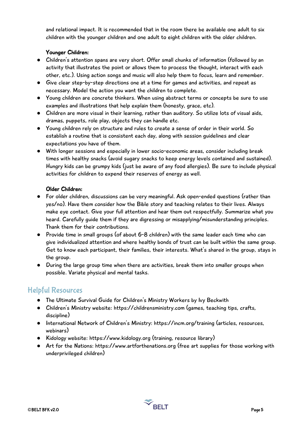and relational impact. It is recommended that in the room there be available one adult to six children with the younger children and one adult to eight children with the older children.

### Younger Children:

- Children's attention spans are very short. Offer small chunks of information (followed by an activity that illustrates the point or allows them to process the thought, interact with each other, etc.). Using action songs and music will also help them to focus, learn and remember.
- Give clear step-by-step directions one at a time for games and activities, and repeat as necessary. Model the action you want the children to complete.
- Young children are concrete thinkers. When using abstract terms or concepts be sure to use examples and illustrations that help explain them (honesty, grace, etc).
- Children are more visual in their learning, rather than auditory. So utilize lots of visual aids, dramas, puppets, role play, objects they can handle etc.
- Young children rely on structure and rules to create a sense of order in their world. So establish a routine that is consistent each day, along with session guidelines and clear expectations you have of them.
- With longer sessions and especially in lower socio-economic areas, consider including break times with healthy snacks (avoid sugary snacks to keep energy levels contained and sustained). Hungry kids can be grumpy kids (just be aware of any food allergies). Be sure to include physical activities for children to expend their reserves of energy as well.

### Older Children:

- For older children, discussions can be very meaningful. Ask open-ended questions (rather than yes/no). Have them consider how the Bible story and teaching relates to their lives. Always make eye contact. Give your full attention and hear them out respectfully. Summarize what you heard. Carefully guide them if they are digressing or misapplying/misunderstanding principles. Thank them for their contributions.
- Provide time in small groups (of about 6-8 children) with the same leader each time who can give individualized attention and where healthy bonds of trust can be built within the same group. Get to know each participant, their families, their interests. What's shared in the group, stays in the group.
- During the large group time when there are activities, break them into smaller groups when possible. Variate physical and mental tasks.

### Helpful Resources

- The Ultimate Survival Guide for Children's Ministry Workers by Ivy Beckwith
- Children's Ministry website: https://childrensministry.com (games, teaching tips, crafts, discipline)
- International Network of Children's Ministry: https://incm.org/training (articles, resources, webinars)
- Kidology website: https://www.kidology.org (training, resource library)
- Art for the Nations: https://www.artforthenations.org (free art supplies for those working with underprivileged children)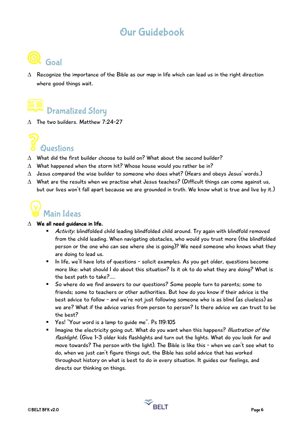### Our Guidebook



 $\Delta$  Recognize the importance of the Bible as our map in life which can lead us in the right direction where good things wait.

### Dramatized Story

 $\Lambda$  The two builders. Matthew 7:24-27



- $\triangle$  What did the first builder choose to build on? What about the second builder?
- $\Delta$  What happened when the storm hit? Whose house would you rather be in?
- $\Delta$  Jesus compared the wise builder to someone who does what? (Hears and obeys Jesus' words.)
- $\Delta$  What are the results when we practise what Jesus teaches? (Difficult things can come against us, but our lives won't fall apart because we are grounded in truth. We know what is true and live by it.)



#### $\triangle$  We all need quidance in life.

- Activity: blindfolded child leading blindfolded child around. Try again with blindfold removed from the child leading. When navigating obstacles, who would you trust more (the blindfolded person or the one who can see where she is going)? We need someone who knows what they are doing to lead us.
- In life, we'll have lots of questions solicit examples. As you get older, questions become more like: what should I do about this situation? Is it ok to do what they are doing? What is the best path to take?….
- So where do we find answers to our questions? Some people turn to parents; some to friends; some to teachers or other authorities. But how do you know if their advice is the best advice to follow - and we're not just following someone who is as blind (as clueless) as we are? What if the advice varies from person to person? Is there advice we can trust to be the best?
- Yes! "Your word is a lamp to quide me". Ps 119:105
- **■** Imagine the electricity going out. What do you want when this happens? Illustration of the flashlight. (Give 1-3 older kids flashlights and turn out the lights. What do you look for and move towards? The person with the light). The Bible is like this - when we can't see what to do, when we just can't figure things out, the Bible has solid advice that has worked throughout history on what is best to do in every situation. It guides our feelings, and directs our thinking on things.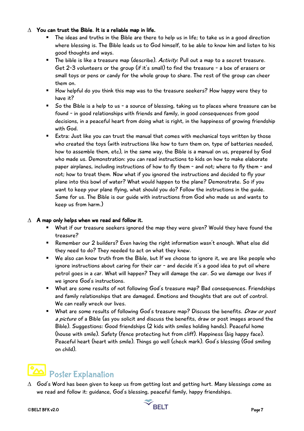### $\Delta$  You can trust the Bible. It is a reliable map in life.

- The ideas and truths in the Bible are there to help us in life; to take us in a good direction where blessing is. The Bible leads us to God himself, to be able to know him and listen to his good thoughts and ways.
- $\blacksquare$  The bible is like a treasure map (describe). Activity: Pull out a map to a secret treasure. Get 2-3 volunteers or the group (if it's small) to find the treasure - a box of erasers or small toys or pens or candy for the whole group to share. The rest of the group can cheer them on.
- How helpful do you think this map was to the treasure seekers? How happy were they to have it?
- So the Bible is a help to us a source of blessing, taking us to places where treasure can be found - in good relationships with friends and family, in good consequences from good decisions, in a peaceful heart from doing what is right, in the happiness of growing friendship with God.
- Extra: Just like you can trust the manual that comes with mechanical toys written by those who created the toys (with instructions like how to turn them on, type of batteries needed, how to assemble them, etc), in the same way, the Bible is a manual on us, prepared by God who made us. Demonstration: you can read instructions to kids on how to make elaborate paper airplanes, including instructions of how to fly them - and not; where to fly them - and not; how to treat them. Now what if you ignored the instructions and decided to fly your plane into this bowl of water? What would happen to the plane? Demonstrate. So if you want to keep your plane flying, what should you do? Follow the instructions in the guide. Same for us. The Bible is our guide with instructions from God who made us and wants to keep us from harm.)

### $\Delta$  A map only helps when we read and follow it.

- What if our treasure seekers ignored the map they were given? Would they have found the treasure?
- Remember our 2 builders? Even having the right information wasn't enough. What else did they need to do? They needed to act on what they knew.
- We also can know truth from the Bible, but If we choose to ignore it, we are like people who ignore instructions about caring for their car - and decide it's a good idea to put oil where petrol goes in a car. What will happen? They will damage the car. So we damage our lives if we ignore God's instructions.
- What are some results of not following God's treasure map? Bad consequences. Friendships and family relationships that are damaged. Emotions and thoughts that are out of control. We can really wreck our lives.
- What are some results of following God's treasure map? Discuss the benefits. *Draw or post* a picture of a Bible (as you solicit and discuss the benefits, draw or post images around the Bible). Suggestions: Good friendships (2 kids with smiles holding hands). Peaceful home (house with smile). Safety (fence protecting hut from cliff). Happiness (big happy face). Peaceful heart (heart with smile). Things go well (check mark). God's blessing (God smiling on child).

### Poster Explanation

 $\Delta$  God's Word has been given to keep us from getting lost and getting hurt. Many blessings come as we read and follow it: guidance, God's blessing, peaceful family, happy friendships.

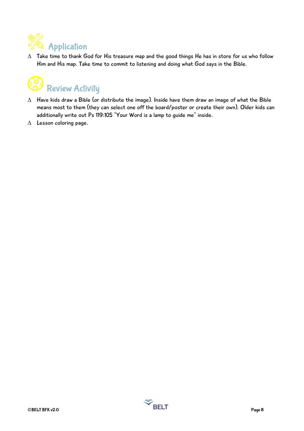

 $\Delta$  Take time to thank God for His treasure map and the good things He has in store for us who follow Him and His map. Take time to commit to listening and doing what God says in the Bible.



- $\Delta$  Have kids draw a Bible (or distribute the image). Inside have them draw an image of what the Bible means most to them (they can select one off the board/poster or create their own). Older kids can additionally write out Ps 119:105 "Your Word is a lamp to guide me" inside.
- $\triangle$  Lesson coloring page.

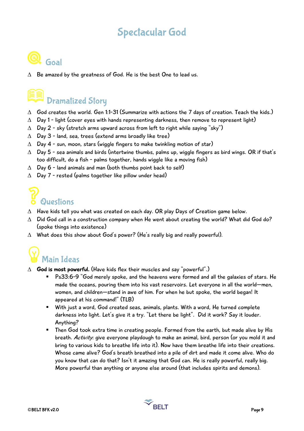### Spectacular God



 $\Delta$  Be amazed by the greatness of God. He is the best One to lead us.

# Dramatized Story

- $\triangle$  God creates the world. Gen 1:1-31 (Summarize with actions the 7 days of creation. Teach the kids.)
- $\Delta$  Day 1 light (cover eyes with hands representing darkness, then remove to represent light)
- $\triangle$  Day 2 sky (stretch arms upward across from left to right while saying "sky")
- $\triangle$  Day 3 land, sea, trees (extend arms broadly like tree)
- $\triangle$  Day 4 sun, moon, stars (wiggle fingers to make twinkling motion of star)
- $\Delta$  Day 5 sea animals and birds (intertwine thumbs, palms up, wiggle fingers as bird wings. OR if that's too difficult, do a fish - palms together, hands wiggle like a moving fish)
- $\triangle$  Day 6 land animals and man (both thumbs point back to self)
- $\triangle$  Day 7 rested (palms together like pillow under head)

# **Questions**

- $\Delta$  Have kids tell you what was created on each day. OR play Days of Creation game below.
- $\triangle$  Did God call in a construction company when He went about creating the world? What did God do? (spoke things into existence)
- $\Delta$  What does this show about God's power? (He's really big and really powerful).

# Main Ideas

- $\triangle$  God is most powerful. (Have kids flex their muscles and say "powerful".)
	- Ps33:6-9 "God merely spoke, and the heavens were formed and all the galaxies of stars. He made the oceans, pouring them into his vast reservoirs. Let everyone in all the world—men, women, and children—stand in awe of him. For when he but spoke, the world began! It appeared at his command!" (TLB)
	- With just a word, God created seas, animals, plants. With a word, He turned complete darkness into light. Let's give it a try. "Let there be light". Did it work? Say it louder. Anything?
	- Then God took extra time in creating people. Formed from the earth, but made alive by His breath. Activity: give everyone playdough to make an animal, bird, person (or you mold it and bring to various kids to breathe life into it). Now have them breathe life into their creations. Whose came alive? God's breath breathed into a pile of dirt and made it come alive. Who do you know that can do that? Isn't it amazing that God can. He is really powerful, really big. More powerful than anything or anyone else around (that includes spirits and demons).

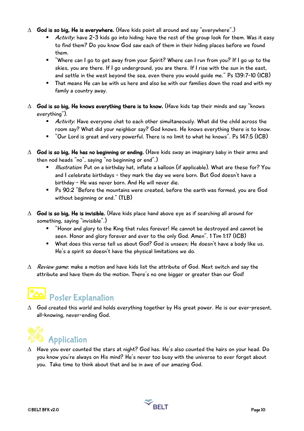- $\triangle$  God is so big, He is everywhere. (Have kids point all around and say "everywhere".)
	- Activity: have 2-3 kids go into hiding; have the rest of the group look for them. Was it easy to find them? Do you know God saw each of them in their hiding places before we found them.
	- "Where can I go to get away from your Spirit? Where can I run from you? If I go up to the skies, you are there. If I go underground, you are there. If I rise with the sun in the east, and settle in the west beyond the sea, even there you would guide me." Ps 139:7-10 (ICB)
	- That means He can be with us here and also be with our families down the road and with my family a country away.
- $\Delta$  God is so big, He knows everything there is to know. (Have kids tap their minds and say "knows everything").
	- Activity: Have everyone chat to each other simultaneously. What did the child across the room say? What did your neighbor say? God knows. He knows everything there is to know.
	- § "Our Lord is great and very powerful. There is no limit to what he knows". Ps 147:5 (ICB)
- $\Delta$  God is so big, He has no beginning or ending. (Have kids sway an imaginary baby in their arms and then nod heads "no", saying "no beginning or end".)
	- Illustration: Put on a birthday hat, inflate a balloon (if applicable). What are these for? You and I celebrate birthdays - they mark the day we were born. But God doesn't have a birthday - He was never born. And He will never die.
	- Ps 90:2 "Before the mountains were created, before the earth was formed, you are God without beginning or end." (TLB)
- $\triangle$  God is so big, He is invisible. (Have kids place hand above eye as if searching all around for something, saying "invisible".)
	- "Honor and glory to the King that rules forever! He cannot be destroyed and cannot be seen. Honor and glory forever and ever to the only God. Amen". 1 Tim 1:17 (ICB)
	- What does this verse tell us about God? God is unseen; He doesn't have a body like us. He's a spirit so doesn't have the physical limitations we do.
- $\Delta$  Review game: make a motion and have kids list the attribute of God. Next switch and say the attribute and have them do the motion. There's no one bigger or greater than our God!

## Poster Explanation

 $\Delta$  God created this world and holds everything together by His great power. He is our ever-present, all-knowing, never-ending God.



 $\Delta$  Have you ever counted the stars at night? God has. He's also counted the hairs on your head. Do you know you're always on His mind? He's never too busy with the universe to ever forget about you. Take time to think about that and be in awe of our amazing God.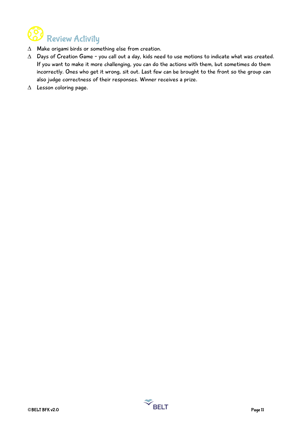

- $\Delta$  Make origami birds or something else from creation.
- $\Delta$  Days of Creation Game you call out a day, kids need to use motions to indicate what was created. If you want to make it more challenging, you can do the actions with them, but sometimes do them incorrectly. Ones who get it wrong, sit out. Last few can be brought to the front so the group can also judge correctness of their responses. Winner receives a prize.
- $\triangle$  Lesson coloring page.

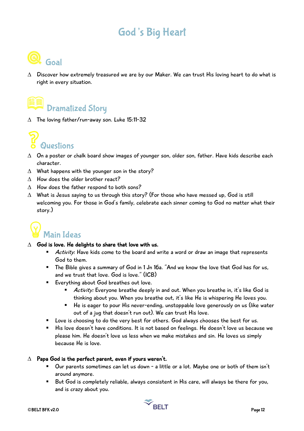### God's Big Heart



 $\Delta$  Discover how extremely treasured we are by our Maker. We can trust His loving heart to do what is right in every situation.

## Dramatized Story

 $\triangle$  The loving father/run-away son. Luke 15:11-32



- $\Delta$  On a poster or chalk board show images of younger son, older son, father. Have kids describe each character.
- $\Delta$  What happens with the younger son in the story?
- $\Lambda$  How does the older brother react?
- $\triangle$  How does the father respond to both sons?
- $\Delta$  What is Jesus saying to us through this story? (For those who have messed up, God is still welcoming you. For those in God's family, celebrate each sinner coming to God no matter what their story.)

# Main Ideas

- $\triangle$  God is love. He delights to share that love with us.
	- Activity: Have kids come to the board and write a word or draw an image that represents God to them.
	- The Bible gives a summary of God in 1 Jn 16a. "And we know the love that God has for us, and we trust that love. God is love." (ICB)
	- Everything about God breathes out love.
		- Activity: Everyone breathe deeply in and out. When you breathe in, it's like God is thinking about you. When you breathe out, it's like He is whispering He loves you.
		- He is eager to pour His never-ending, unstoppable love generously on us (like water out of a jug that doesn't run out). We can trust His love.
	- Love is choosing to do the very best for others. God always chooses the best for us.
	- § His love doesn't have conditions. It is not based on feelings. He doesn't love us because we please him. He doesn't love us less when we make mistakes and sin. He loves us simply because He is love.

#### $\Delta$  Papa God is the perfect parent, even if yours weren't.

- Our parents sometimes can let us down a little or a lot. Maybe one or both of them isn't around anymore.
- But God is completely reliable, always consistent in His care, will always be there for you, and is crazy about you.

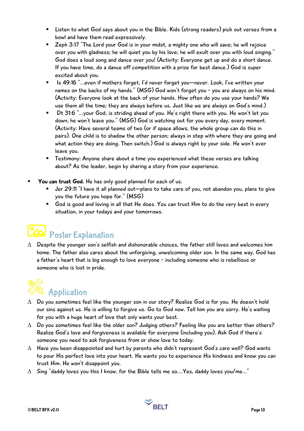- Listen to what God says about you in the Bible. Kids (strong readers) pick out verses from a bowl and have them read expressively.
- Zeph 3:17 "The Lord your God is in your midst, a mighty one who will save; he will rejoice over you with gladness; he will quiet you by his love; he will exult over you with loud singing." God does a loud song and dance over you! (Activity: Everyone get up and do a short dance. If you have time, do a dance off competition with a prize for best dance.) God is super excited about you.
- Is 49:16 "...even if mothers forget, I'd never forget you-never. Look, I've written your names on the backs of my hands." (MSG) God won't forget you - you are always on his mind. (Activity: Everyone look at the back of your hands. How often do you use your hands? We use them all the time; they are always before us. Just like we are always on God's mind.)
- § Dt 31:6 "...your God, is striding ahead of you. He's right there with you. He won't let you down; he won't leave you." (MSG) God is watching out for you every day, every moment. (Activity: Have several teams of two (or if space allows, the whole group can do this in pairs). One child is to shadow the other person; always in step with where they are going and what action they are doing. Then switch.) God is always right by your side. He won't ever leave you.
- Testimony: Anyone share about a time you experienced what these verses are talking about? As the leader, begin by sharing a story from your experience.
- You can trust God. He has only good planned for each of us.
	- § Jer 29:11 "I have it all planned out—plans to take care of you, not abandon you, plans to give you the future you hope for." (MSG)
	- § God is good and loving in all that He does. You can trust Him to do the very best in every situation, in your todays and your tomorrows.

# Poster Explanation

 $\Delta$  Despite the younger son's selfish and dishonorable choices, the father still loves and welcomes him home. The father also cares about the unforgiving, unwelcoming older son. In the same way, God has a father's heart that is big enough to love everyone - including someone who is rebellious or someone who is lost in pride.

# **Application**

- $\Delta$  Do you sometimes feel like the younger son in our story? Realize God is for you. He doesn't hold our sins against us. He is willing to forgive us. Go to God now. Tell him you are sorry. He's waiting for you with a huge heart of love that only wants your best.
- $\triangle$  Do you sometimes feel like the older son? Judging others? Feeling like you are better than others? Realize God's love and forgiveness is available for everyone (including you). Ask God if there's someone you need to ask forgiveness from or show love to today.
- $\Delta$  Have you been disappointed and hurt by parents who didn't represent God's care well? God wants to pour His perfect love into your heart. He wants you to experience His kindness and know you can trust Him. He won't disappoint you.
- $\Delta$  Sing "daddy loves you this I know, for the Bible tells me so.... Yes, daddy loves you/me..."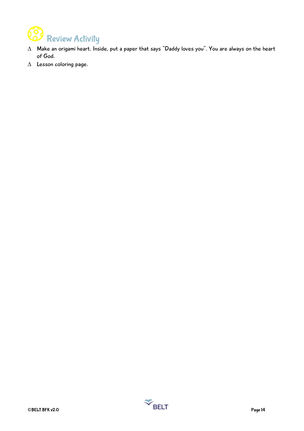

- $\Delta$  Make an origami heart. Inside, put a paper that says "Daddy loves you". You are always on the heart of God.
- $\Delta$  Lesson coloring page.

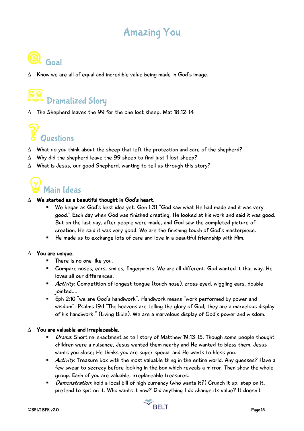### Amazing You



 $\Delta$  Know we are all of equal and incredible value being made in God's image.

# Dramatized Story

 $\triangle$  The Shepherd leaves the 99 for the one lost sheep. Mat 18:12-14

# Questions

- $\Delta$  What do you think about the sheep that left the protection and care of the shepherd?
- $\triangle$  Why did the shepherd leave the 99 sheep to find just 1 lost sheep?
- $\Delta$  What is Jesus, our good Shepherd, wanting to tell us through this story?

## Main Ideas

#### $\Delta$  We started as a beautiful thought in God's heart.

- We began as God's best idea yet. Gen 1:31 "God saw what He had made and it was very good." Each day when God was finished creating, He looked at his work and said it was good. But on the last day, after people were made, and God saw the completed picture of creation, He said it was very good. We are the finishing touch of God's masterpiece.
- He made us to exchange lots of care and love in a beautiful friendship with Him.

#### $\Delta$  You are unique.

- There is no one like you.
- Compare noses, ears, smiles, fingerprints. We are all different. God wanted it that way. He loves all our differences.
- Activity: Competition of longest tongue (touch nose), cross eyed, wiggling ears, double jointed….
- Eph 2:10 "we are God's handiwork". Handiwork means "work performed by power and wisdom". Psalms 19:1 "The heavens are telling the glory of God; they are a marvelous display of his handiwork." (Living Bible). We are a marvelous display of God's power and wisdom.

#### $\triangle$  You are valuable and irreplaceable.

- Drama: Short re-enactment as tell story of Matthew 19:13-15. Though some people thought children were a nuisance, Jesus wanted them nearby and He wanted to bless them. Jesus wants you close; He thinks you are super special and He wants to bless you.
- Activity: Treasure box with the most valuable thing in the entire world. Any quesses? Have a few swear to secrecy before looking in the box which reveals a mirror. Then show the whole group. Each of you are valuable, irreplaceable treasures.
- Demonstration: hold a local bill of high currency (who wants it?) Crunch it up, step on it, pretend to spit on it. Who wants it now? Did anything I do change its value? It doesn't

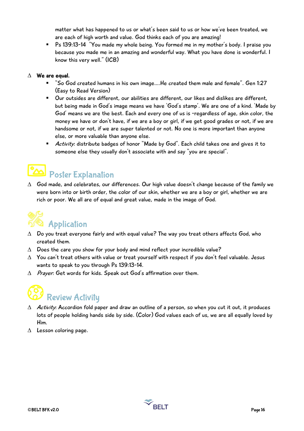matter what has happened to us or what's been said to us or how we've been treated, we are each of high worth and value. God thinks each of you are amazing!

§ Ps 139:13-14 "You made my whole being. You formed me in my mother's body. I praise you because you made me in an amazing and wonderful way. What you have done is wonderful. I know this very well." (ICB)

### $\Delta$  We are equal.

- § "So God created humans in his own image….He created them male and female". Gen 1:27 (Easy to Read Version)
- Our outsides are different, our abilities are different, our likes and dislikes are different, but being made in God's image means we have 'God's stamp'. We are one of a kind. 'Made by God' means we are the best. Each and every one of us is -regardless of age, skin color, the money we have or don't have, if we are a boy or girl, if we get good grades or not, if we are handsome or not, if we are super talented or not. No one is more important than anyone else, or more valuable than anyone else.
- Activity: distribute badges of honor "Made by God". Each child takes one and gives it to someone else they usually don't associate with and say "you are special".

### **Poster Explanation**

 $\Delta$  God made, and celebrates, our differences. Our high value doesn't change because of the family we were born into or birth order, the color of our skin, whether we are a boy or girl, whether we are rich or poor. We all are of equal and great value, made in the image of God.



- $\Delta$  Do you treat everyone fairly and with equal value? The way you treat others affects God, who created them.
- $\triangle$  Does the care you show for your body and mind reflect your incredible value?
- $\Delta$  You can't treat others with value or treat yourself with respect if you don't feel valuable. Jesus wants to speak to you through Ps 139:13-14.
- $\Delta$  Prayer: Get words for kids. Speak out God's affirmation over them.

# Review Activity

- $\Delta$  Activity: Accordion fold paper and draw an outline of a person, so when you cut it out, it produces lots of people holding hands side by side. (Color) God values each of us, we are all equally loved by Him.
- $\triangle$  Lesson coloring page.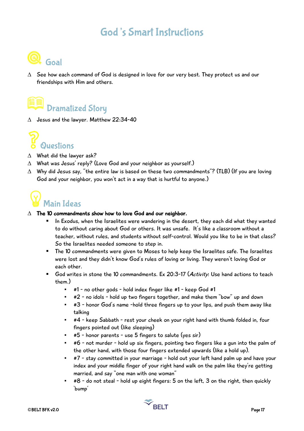### God's Smart Instructions



 $\Delta$  See how each command of God is designed in love for our very best. They protect us and our friendships with Him and others.

## Dramatized Story

 $\triangle$  Jesus and the lawyer. Matthew 22:34-40



- $\triangle$  What did the lawyer ask?
- $\triangle$  What was Jesus' reply? (Love God and your neighbor as yourself.)
- $\Delta$  Why did Jesus say, "the entire law is based on these two commandments"? (TLB) (If you are loving God and your neighbor, you won't act in a way that is hurtful to anyone.)



#### $\triangle$  The 10 commandments show how to love God and our neighbor.

- In Exodus, when the Israelites were wandering in the desert, they each did what they wanted to do without caring about God or others. It was unsafe. It's like a classroom without a teacher, without rules, and students without self-control. Would you like to be in that class? So the Israelites needed someone to step in.
- The 10 commandments were given to Moses to help keep the Israelites safe. The Israelites were lost and they didn't know God's rules of loving or living. They weren't loving God or each other.
- God writes in stone the 10 commandments. Ex 20:3-17 (Activity: Use hand actions to teach them.)
	- #1 no other gods hold index finger like #1 keep God #1
	- #2 no idols hold up two fingers together, and make them "bow" up and down
	- #3 honor God's name -hold three fingers up to your lips, and push them away like talking
	- #4 keep Sabbath rest your cheek on your right hand with thumb folded in, four fingers pointed out (like sleeping)
	- #5 honor parents use 5 fingers to salute (yes sir)
	- #6 not murder hold up six fingers, pointing two fingers like a gun into the palm of the other hand, with those four fingers extended upwards (like a hold up).
	- #7 stay committed in your marriage hold out your left hand palm up and have your index and your middle finger of your right hand walk on the palm like they're getting married, and say "one man with one woman"
	- #8 do not steal hold up eight fingers: 5 on the left, 3 on the right, then quickly 'bump'

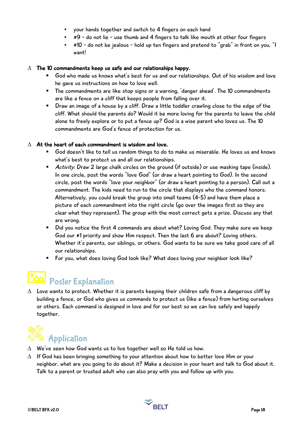- your hands together and switch to 4 fingers on each hand
- #9 do not lie use thumb and 4 fingers to talk like mouth at other four fingers
- #10 do not be jealous hold up ten fingers and pretend to "grab" in front on you, "I want!

#### $\Delta$  The 10 commandments keep us safe and our relationships happy.

- God who made us knows what's best for us and our relationships. Out of his wisdom and love he gave us instructions on how to love well.
- The commandments are like stop signs or a warning, 'danger ahead'. The 10 commandments are like a fence on a cliff that keeps people from falling over it.
- Draw an image of a house by a cliff. Draw a little toddler crawling close to the edge of the cliff. What should the parents do? Would it be more loving for the parents to leave the child alone to freely explore or to put a fence up? God is a wise parent who loves us. The 10 commandments are God's fence of protection for us.

#### $\Lambda$  At the heart of each commandment is wisdom and love.

- § God doesn't like to tell us random things to do to make us miserable. He loves us and knows what's best to protect us and all our relationships.
- Activity: Draw 2 large chalk circles on the ground (if outside) or use masking tape (inside). In one circle, post the words "love God" (or draw a heart pointing to God). In the second circle, post the words "love your neighbor" (or draw a heart pointing to a person). Call out a commandment. The kids need to run to the circle that displays who the command honors. Alternatively, you could break the group into small teams (4-5) and have them place a picture of each commandment into the right circle (go over the images first so they are clear what they represent). The group with the most correct gets a prize. Discuss any that are wrong.
- Did you notice the first 4 commands are about what? Loving God. They make sure we keep God our #1 priority and show Him respect. Then the last 6 are about? Loving others. Whether it's parents, our siblings, or others. God wants to be sure we take good care of all our relationships.
- For you, what does loving God look like? What does loving your neighbor look like?

### Poster Explanation

 $\Delta$  Love wants to protect. Whether it is parents keeping their children safe from a dangerous cliff by building a fence, or God who gives us commands to protect us (like a fence) from hurting ourselves or others. Each command is designed in love and for our best so we can live safely and happily together.



- $\Delta$  We've seen how God wants us to live together well so He told us how.
- $\Delta$  If God has been bringing something to your attention about how to better love Him or your neighbor, what are you going to do about it? Make a decision in your heart and talk to God about it. Talk to a parent or trusted adult who can also pray with you and follow up with you.

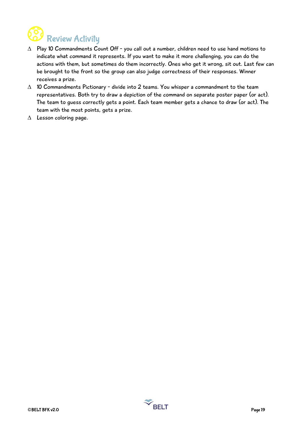

- $\Delta$  Play 10 Commandments Count Off you call out a number, children need to use hand motions to indicate what command it represents. If you want to make it more challenging, you can do the actions with them, but sometimes do them incorrectly. Ones who get it wrong, sit out. Last few can be brought to the front so the group can also judge correctness of their responses. Winner receives a prize.
- $\triangle$  10 Commandments Pictionary divide into 2 teams. You whisper a commandment to the team representatives. Both try to draw a depiction of the command on separate poster paper (or act). The team to guess correctly gets a point. Each team member gets a chance to draw (or act). The team with the most points, gets a prize.
- $\Delta$  Lesson coloring page.

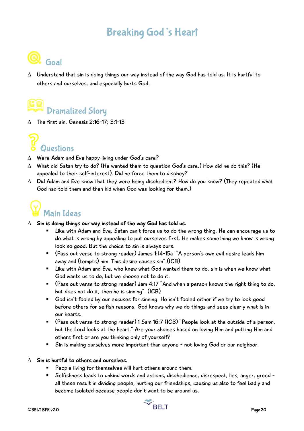### Breaking God's Heart



 $\Delta$  Understand that sin is doing things our way instead of the way God has told us. It is hurtful to others and ourselves, and especially hurts God.

### Dramatized Story

 $\Lambda$  The first sin. Genesis 2:16-17: 3:1-13



- $\triangle$  Were Adam and Eve happy living under God's care?
- $\Delta$  What did Satan try to do? (He wanted them to question God's care.) How did he do this? (He appealed to their self-interest). Did he force them to disobey?
- $\Delta$  Did Adam and Eve know that they were being disobedient? How do you know? (They repeated what God had told them and then hid when God was looking for them.)



#### $\Delta$  Sin is doing things our way instead of the way God has told us.

- Like with Adam and Eve, Satan can't force us to do the wrong thing. He can encourage us to do what is wrong by appealing to put ourselves first. He makes something we know is wrong look so good. But the choice to sin is always ours.
- (Pass out verse to strong reader) James 1:14-15a "A person's own evil desire leads him away and (tempts) him. This desire causes sin".(ICB)
- Like with Adam and Eve, who knew what God wanted them to do, sin is when we know what God wants us to do, but we choose not to do it.
- (Pass out verse to strong reader) Jam 4:17 "And when a person knows the right thing to do, but does not do it, then he is sinning". (ICB)
- § God isn't fooled by our excuses for sinning. He isn't fooled either if we try to look good before others for selfish reasons. God knows why we do things and sees clearly what is in our hearts.
- (Pass out verse to strong reader) 1 Sam 16:7 (ICB) "People look at the outside of a person, but the Lord looks at the heart." Are your choices based on loving Him and putting Him and others first or are you thinking only of yourself?
- Sin is making ourselves more important than anyone not loving God or our neighbor.

#### $\wedge$  Sin is hurtful to others and ourselves.

- People living for themselves will hurt others around them.
- Selfishness leads to unkind words and actions, disobedience, disrespect, lies, anger, greed all these result in dividing people, hurting our friendships, causing us also to feel badly and become isolated because people don't want to be around us.



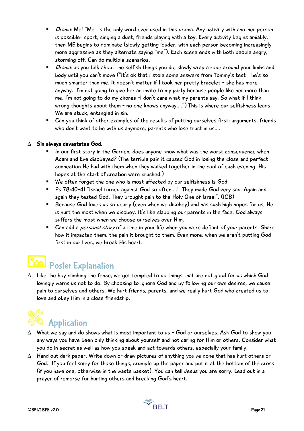- *Drama*: Me! "Me" is the only word ever used in this drama. Any activity with another person is possible- sport, singing a duet, friends playing with a toy. Every activity begins amiably, then ME begins to dominate (slowly getting louder, with each person becoming increasingly more aggressive as they alternate saying "me"). Each scene ends with both people angry, storming off. Can do multiple scenarios.
- *Drama*: as you talk about the selfish things you do, slowly wrap a rope around your limbs and body until you can't move ("It's ok that I stole some answers from Tommy's test - he's so much smarter than me. It doesn't matter if I took her pretty bracelet - she has more anyway. I'm not going to give her an invite to my party because people like her more than me. I'm not going to do my chores -I don't care what my parents say. So what if I think wrong thoughts about them - no one knows anyway….") This is where our selfishness leads. We are stuck, entangled in sin.
- Can you think of other examples of the results of putting ourselves first: arguments, friends who don't want to be with us anymore, parents who lose trust in us….

### $\triangle$  Sin always devastates God.

- In our first story in the Garden, does anyone know what was the worst consequence when Adam and Eve disobeyed? (The terrible pain it caused God in losing the close and perfect connection He had with them when they walked together in the cool of each evening. His hopes at the start of creation were crushed.)
- We often forget the one who is most affected by our selfishness is God.
- Ps 78:40-41 "Israel turned against God so often....! They made God very sad. Again and again they tested God. They brought pain to the Holy One of Israel". (ICB)
- Because God loves us so dearly (even when we disobey) and has such high hopes for us, He is hurt the most when we disobey. It's like slapping our parents in the face. God always suffers the most when we choose ourselves over Him.
- Can add a *personal story* of a time in your life when you were defiant of your parents. Share how it impacted them, the pain it brought to them. Even more, when we aren't putting God first in our lives, we break His heart.

## Poster Explanation

 $\Delta$  Like the boy climbing the fence, we get tempted to do things that are not good for us which God lovingly warns us not to do. By choosing to ignore God and by following our own desires, we cause pain to ourselves and others. We hurt friends, parents, and we really hurt God who created us to love and obey Him in a close friendship.



- $\Delta$  What we say and do shows what is most important to us God or ourselves. Ask God to show you any ways you have been only thinking about yourself and not caring for Him or others. Consider what you do in secret as well as how you speak and act towards others, especially your family.
- $\Delta$  Hand out dark paper. Write down or draw pictures of anything you've done that has hurt others or God. If you feel sorry for those things, crumple up the paper and put it at the bottom of the cross (if you have one, otherwise in the waste basket). You can tell Jesus you are sorry. Lead out in a prayer of remorse for hurting others and breaking God's heart.

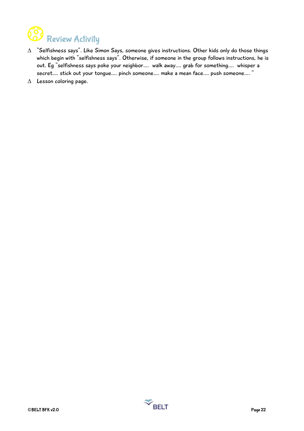

- $\Delta$  "Selfishness says". Like Simon Says, someone gives instructions. Other kids only do those things which begin with "selfishness says". Otherwise, if someone in the group follows instructions, he is out. Eg "selfishness says poke your neighbor…. walk away.… grab for something…. whisper a secret…. stick out your tongue…. pinch someone…. make a mean face…. push someone…. "
- $\triangle$  Lesson coloring page.

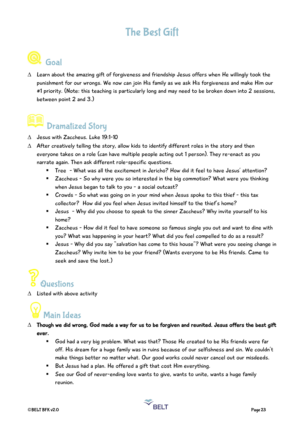### The Best Gift

## Q Goal

 $\Delta$  Learn about the amazing gift of forgiveness and friendship Jesus offers when He willingly took the punishment for our wrongs. We now can join His family as we ask His forgiveness and make Him our #1 priority. (Note: this teaching is particularly long and may need to be broken down into 2 sessions, between point 2 and 3.)

## Dramatized Story

- $\triangle$  Jesus with Zaccheus. Luke 19:1-10
- $\Delta$  After creatively telling the story, allow kids to identify different roles in the story and then everyone takes on a role (can have multiple people acting out 1 person). They re-enact as you narrate again. Then ask different role-specific questions.
	- § Tree What was all the excitement in Jericho? How did it feel to have Jesus' attention?
	- Zaccheus So why were you so interested in the big commotion? What were you thinking when Jesus began to talk to you - a social outcast?
	- Crowds So what was going on in your mind when Jesus spoke to this thief this tax collector? How did you feel when Jesus invited himself to the thief's home?
	- Jesus Why did you choose to speak to the sinner Zaccheus? Why invite yourself to his home?
	- Zaccheus How did it feel to have someone so famous single you out and want to dine with you? What was happening in your heart? What did you feel compelled to do as a result?
	- Jesus Why did you say "salvation has come to this house"? What were you seeing change in Zaccheus? Why invite him to be your friend? (Wants everyone to be His friends. Came to seek and save the lost.)

# Questions

 $\Delta$  Listed with above activity

## Main Ideas

- $\Delta$  Though we did wrong, God made a way for us to be forgiven and reunited. Jesus offers the best gift ever.
	- God had a very big problem. What was that? Those He created to be His friends were far off. His dream for a huge family was in ruins because of our selfishness and sin. We couldn't make things better no matter what. Our good works could never cancel out our misdeeds.
	- But Jesus had a plan. He offered a gift that cost Him everything.
	- See our God of never-ending love wants to give, wants to unite, wants a huge family reunion.

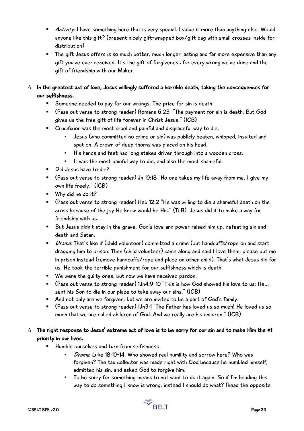- Activity: I have something here that is very special. I value it more than anything else. Would anyone like this gift? (present nicely gift-wrapped box/gift bag with small crosses inside for distribution)
- The gift Jesus offers is so much better, much longer lasting and far more expensive than any gift you've ever received. It's the gift of forgiveness for every wrong we've done and the gift of friendship with our Maker.
- $\Delta$  In the greatest act of love, Jesus willingly suffered a horrible death, taking the consequences for our selfishness.
	- Someone needed to pay for our wrongs. The price for sin is death.
	- (Pass out verse to strong reader) Romans 6:23 "The payment for sin is death. But God gives us the free gift of life forever in Christ Jesus." (ICB)
	- Crucifixion was the most cruel and painful and disgraceful way to die.
		- Jesus (who committed no crime or sin) was publicly beaten, whipped, insulted and spat on. A crown of deep thorns was placed on his head.
		- His hands and feet had long stakes driven through into a wooden cross.
		- It was the most painful way to die, and also the most shameful.
	- Did Jesus have to die?
	- (Pass out verse to strong reader) Jn 10:18 "No one takes my life away from me. I give my own life freely." (ICB)
	- § Why did he do it?
	- (Pass out verse to strong reader) Heb 12:2 "He was willing to die a shameful death on the cross because of the joy He knew would be His." (TLB) Jesus did it to make a way for friendship with us.
	- But Jesus didn't stay in the grave. God's love and power raised him up, defeating sin and death and Satan.
	- *Drama*: That's like if (child volunteer) committed a crime (put handcuffs/rope on and start dragging him to prison. Then (child volunteer) came along and said I love them; please put me in prison instead (remove handcuffs/rope and place on other child). That's what Jesus did for us. He took the terrible punishment for our selfishness which is death.
	- We were the guilty ones, but now we have received pardon.
	- (Pass out verse to strong reader) 1Jn4:9-10 "This is how God showed his love to us: He... sent his Son to die in our place to take away our sins." (ICB)
	- And not only are we forgiven, but we are invited to be a part of God's family.
	- (Pass out verse to strong reader) 1Jn3:1 "The Father has loved us so much! He loved us so much that we are called children of God. And we really are his children." (ICB)
- $\Delta$  The right response to Jesus' extreme act of love is to be sorry for our sin and to make Him the #1 priority in our lives.
	- § Humble ourselves and turn from selfishness
		- **•** *Drama*: Luke 18:10-14. Who showed real humility and sorrow here? Who was forgiven? The tax collector was made right with God because he humbled himself, admitted his sin, and asked God to forgive him.
		- To be sorry for something means to not want to do it again. So if I'm heading this way to do something I know is wrong, instead I should do what? (head the opposite

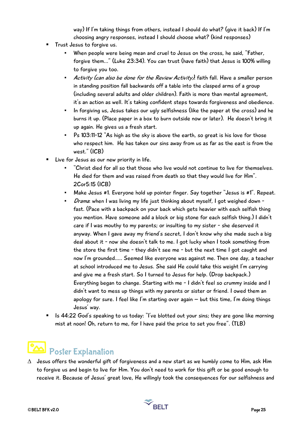way) If I'm taking things from others, instead I should do what? (give it back) If I'm choosing angry responses, instead I should choose what? (kind responses)

- § Trust Jesus to forgive us.
	- When people were being mean and cruel to Jesus on the cross, he said, "Father, forgive them..." (Luke 23:34). You can trust (have faith) that Jesus is 100% willing to forgive you too.
	- **•** Activity (can also be done for the Review Activity): faith fall. Have a smaller person in standing position fall backwards off a table into the clasped arms of a group (including several adults and older children). Faith is more than mental agreement, it's an action as well. It's taking confident steps towards forgiveness and obedience.
	- In forgiving us, Jesus takes our ugly selfishness (like the paper at the cross) and he burns it up. (Place paper in a box to burn outside now or later). He doesn't bring it up again. He gives us a fresh start.
	- Ps 103:11-12 "As high as the sky is above the earth, so great is his love for those who respect him. He has taken our sins away from us as far as the east is from the west." (ICB)
- Live for Jesus as our new priority in life.
	- "Christ died for all so that those who live would not continue to live for themselves. He died for them and was raised from death so that they would live for Him". 2Cor5:15 (ICB)
	- Make Jesus #1. Everyone hold up pointer finger. Say together "Jesus is #1". Repeat.
	- Drama: when I was living my life just thinking about myself, I got weighed down fast. (Pace with a backpack on your back which gets heavier with each selfish thing you mention. Have someone add a block or big stone for each selfish thing.) I didn't care if I was mouthy to my parents; or insulting to my sister - she deserved it anyway. When I gave away my friend's secret, I don't know why she made such a big deal about it - now she doesn't talk to me. I got lucky when I took something from the store the first time - they didn't see me - but the next time I got caught and now I'm grounded….. Seemed like everyone was against me. Then one day, a teacher at school introduced me to Jesus. She said He could take this weight I'm carrying and give me a fresh start. So I turned to Jesus for help. (Drop backpack.) Everything began to change. Starting with me - I didn't feel so crummy inside and I didn't want to mess up things with my parents or sister or friend. I owed them an apology for sure. I feel like I'm starting over again  $-$  but this time, I'm doing things Jesus' way.
- Is 44:22 God's speaking to us today: "I've blotted out your sins; they are gone like morning mist at noon! Oh, return to me, for I have paid the price to set you free". (TLB)



 $\Delta$  Jesus offers the wonderful gift of forgiveness and a new start as we humbly come to Him, ask Him to forgive us and begin to live for Him. You don't need to work for this gift or be good enough to receive it. Because of Jesus' great love, He willingly took the consequences for our selfishness and

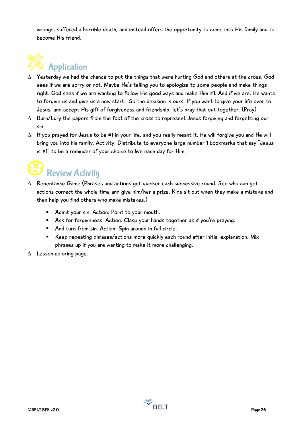wrongs, suffered a horrible death, and instead offers the opportunity to come into His family and to become His friend.

# Application

- $\Delta$  Yesterday we had the chance to put the things that were hurting God and others at the cross. God sees if we are sorry or not. Maybe He's telling you to apologize to some people and make things right. God sees if we are wanting to follow His good ways and make Him #1. And if we are, He wants to forgive us and give us a new start. So the decision is ours. If you want to give your life over to Jesus, and accept His gift of forgiveness and friendship, let's pray that out together. (Pray)
- $\Delta$  Burn/bury the papers from the foot of the cross to represent Jesus forgiving and forgetting our sin.
- $\Delta$  If you prayed for Jesus to be #1 in your life, and you really meant it, He will forgive you and He will bring you into his family. Activity: Distribute to everyone large number 1 bookmarks that say "Jesus is #1" to be a reminder of your choice to live each day for Him.

# Review Activity

- $\Delta$  Repentance Game (Phrases and actions get quicker each successive round. See who can get actions correct the whole time and give him/her a prize. Kids sit out when they make a mistake and then help you find others who make mistakes.)
	- Admit your sin. Action: Point to your mouth.
	- Ask for forgiveness. Action: Clasp your hands together as if you're praying.
	- And turn from sin. Action: Spin around in full circle.
	- Keep repeating phrases/actions more quickly each round after initial explanation. Mix phrases up if you are wanting to make it more challenging.
- $\triangle$  Lesson coloring page.

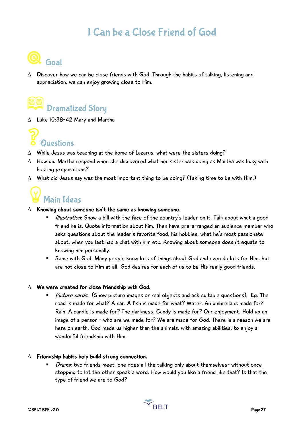### I Can be a Close Friend of God



 $\Delta$  Discover how we can be close friends with God. Through the habits of talking, listening and appreciation, we can enjoy growing close to Him.

## Dramatized Story

 $\triangle$  Luke 10:38-42 Mary and Martha



- $\Delta$  While Jesus was teaching at the home of Lazarus, what were the sisters doing?
- $\Delta$  How did Martha respond when she discovered what her sister was doing as Martha was busy with hosting preparations?
- $\Delta$  What did Jesus say was the most important thing to be doing? (Taking time to be with Him.)



#### $\Delta$  Knowing about someone isn't the same as knowing someone.

- Illustration: Show a bill with the face of the country's leader on it. Talk about what a good friend he is. Quote information about him. Then have pre-arranged an audience member who asks questions about the leader's favorite food, his hobbies, what he's most passionate about, when you last had a chat with him etc. Knowing about someone doesn't equate to knowing him personally.
- Same with God. Many people know lots of things about God and even do lots for Him, but are not close to Him at all. God desires for each of us to be His really good friends.

#### $\Delta$  We were created for close friendship with God.

■ Picture cards. (Show picture images or real objects and ask suitable questions): Eg. The road is made for what? A car. A fish is made for what? Water. An umbrella is made for? Rain. A candle is made for? The darkness. Candy is made for? Our enjoyment. Hold up an image of a person - who are we made for? We are made for God. There is a reason we are here on earth. God made us higher than the animals, with amazing abilities, to enjoy a wonderful friendship with Him.

#### $\Delta$  Friendship habits help build strong connection.

Drama: two friends meet, one does all the talking only about themselves- without once stopping to let the other speak a word. How would you like a friend like that? Is that the type of friend we are to God?

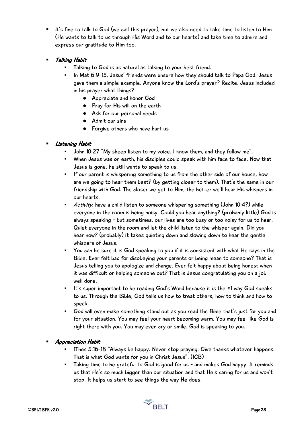- It's fine to talk to God (we call this prayer), but we also need to take time to listen to Him (He wants to talk to us through His Word and to our hearts) and take time to admire and express our gratitude to Him too.
- § Talking Habit
	- Talking to God is as natural as talking to your best friend.
	- In Mat 6:9-15, Jesus' friends were unsure how they should talk to Papa God. Jesus gave them a simple example. Anyone know the Lord's prayer? Recite. Jesus included in his prayer what things?
		- Appreciate and honor God
		- Pray for His will on the earth
		- Ask for our personal needs
		- Admit our sins
		- Forgive others who have hurt us

### § Listening Habit

- John 10:27 "My sheep listen to my voice. I know them, and they follow me".
- When Jesus was on earth, his disciples could speak with him face to face. Now that Jesus is gone, he still wants to speak to us.
- If our parent is whispering something to us from the other side of our house, how are we going to hear them best? (by getting closer to them). That's the same in our friendship with God. The closer we get to Him, the better we'll hear His whispers in our hearts.
- Activity: have a child listen to someone whispering something (John 10:4?) while everyone in the room is being noisy. Could you hear anything? (probably little) God is always speaking - but sometimes, our lives are too busy or too noisy for us to hear. Quiet everyone in the room and let the child listen to the whisper again. Did you hear now? (probably) It takes quieting down and slowing down to hear the gentle whispers of Jesus.
- You can be sure it is God speaking to you if it is consistent with what He says in the Bible. Ever felt bad for disobeying your parents or being mean to someone? That is Jesus telling you to apologize and change. Ever felt happy about being honest when it was difficult or helping someone out? That is Jesus congratulating you on a job well done.
- It's super important to be reading God's Word because it is the #1 way God speaks to us. Through the Bible, God tells us how to treat others, how to think and how to speak.
- God will even make something stand out as you read the Bible that's just for you and for your situation. You may feel your heart becoming warm. You may feel like God is right there with you. You may even cry or smile. God is speaking to you.

### § Appreciation Habit

- 1Thes 5:16-18 "Always be happy. Never stop praying. Give thanks whatever happens. That is what God wants for you in Christ Jesus". (ICB)
- Taking time to be grateful to God is good for us and makes God happy. It reminds us that He's so much bigger than our situation and that He's caring for us and won't stop. It helps us start to see things the way He does.

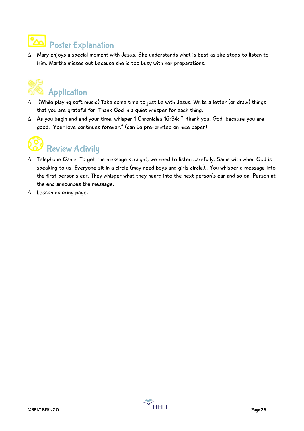### Poster Explanation

 $\Delta$  Mary enjoys a special moment with Jesus. She understands what is best as she stops to listen to Him. Martha misses out because she is too busy with her preparations.

# Application

- $\Delta$  (While playing soft music) Take some time to just be with Jesus. Write a letter (or draw) things that you are grateful for. Thank God in a quiet whisper for each thing.
- $\Delta$  As you begin and end your time, whisper 1 Chronicles 16:34: "I thank you, God, because you are good. Your love continues forever." (can be pre-printed on nice paper)



- $\Delta$  Telephone Game: To get the message straight, we need to listen carefully. Same with when God is speaking to us. Everyone sit in a circle (may need boys and girls circle).. You whisper a message into the first person's ear. They whisper what they heard into the next person's ear and so on. Person at the end announces the message.
- $\Delta$  Lesson coloring page.

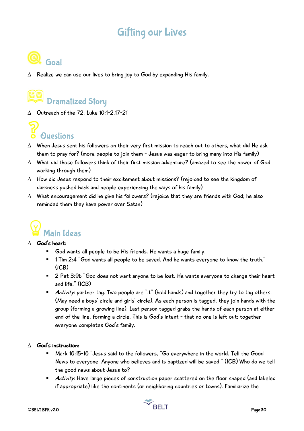### Gifting our Lives



 $\Delta$  Realize we can use our lives to bring joy to God by expanding His family.

## Dramatized Story

 $\triangle$  Outreach of the 72. Luke 10:1-2,17-21



- $\Delta$  When Jesus sent his followers on their very first mission to reach out to others, what did He ask them to pray for? (more people to join them - Jesus was eager to bring many into His family)
- $\Delta$  What did those followers think of their first mission adventure? (amazed to see the power of God working through them)
- $\Delta$  How did Jesus respond to their excitement about missions? (rejoiced to see the kingdom of darkness pushed back and people experiencing the ways of his family)
- $\Delta$  What encouragement did he give his followers? (rejoice that they are friends with God; he also reminded them they have power over Satan)



#### $\wedge$  God's heart:

- § God wants all people to be His friends. He wants a huge family.
- 1 Tim 2:4 "God wants all people to be saved. And he wants everyone to know the truth." (ICB)
- 2 Pet 3:9b "God does not want anyone to be lost. He wants everyone to change their heart and life." (ICB)
- Activity: partner tag. Two people are "it" (hold hands) and together they try to tag others. (May need a boys' circle and girls' circle). As each person is tagged, they join hands with the group (forming a growing line). Last person tagged grabs the hands of each person at either end of the line, forming a circle. This is God's intent - that no one is left out; together everyone completes God's family.

### $\wedge$  God's instruction:

- § Mark 16:15-16 "Jesus said to the followers, "Go everywhere in the world. Tell the Good News to everyone. Anyone who believes and is baptized will be saved." (ICB) Who do we tell the good news about Jesus to?
- Activity: Have large pieces of construction paper scattered on the floor shaped (and labeled if appropriate) like the continents (or neighboring countries or towns). Familiarize the

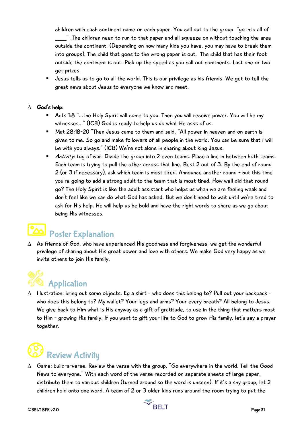children with each continent name on each paper. You call out to the group "go into all of \_\_\_\_\_" .The children need to run to that paper and all squeeze on without touching the area outside the continent. (Depending on how many kids you have, you may have to break them into groups). The child that goes to the wrong paper is out. The child that has their foot outside the continent is out. Pick up the speed as you call out continents. Last one or two get prizes.

■ Jesus tells us to go to all the world. This is our privilege as his friends. We get to tell the great news about Jesus to everyone we know and meet.

### $\Delta$  God's help:

- Acts 1:8 "...the Holy Spirit will come to you. Then you will receive power. You will be my witnesses…" (ICB) God is ready to help us do what He asks of us.
- Mat 28:18-20 "Then Jesus came to them and said, "All power in heaven and on earth is given to me. So go and make followers of all people in the world. You can be sure that I will be with you always." (ICB) We're not alone in sharing about king Jesus.
- Activity: tug of war. Divide the group into 2 even teams. Place a line in between both teams. Each team is trying to pull the other across that line. Best 2 out of 3. By the end of round 2 (or 3 if necessary), ask which team is most tired. Announce another round - but this time you're going to add a strong adult to the team that is most tired. How well did that round go? The Holy Spirit is like the adult assistant who helps us when we are feeling weak and don't feel like we can do what God has asked. But we don't need to wait until we're tired to ask for His help. He will help us be bold and have the right words to share as we go about being His witnesses.

## Poster Explanation

 $\Delta$  As friends of God, who have experienced His goodness and forgiveness, we get the wonderful privilege of sharing about His great power and love with others. We make God very happy as we invite others to join His family.

# **Application**

 $\Delta$  Illustration: bring out some objects. Eg a shirt - who does this belong to? Pull out your backpack who does this belong to? My wallet? Your legs and arms? Your every breath? All belong to Jesus. We give back to Him what is His anyway as a gift of gratitude, to use in the thing that matters most to Him - growing His family. If you want to gift your life to God to grow His family, let's say a prayer together.



 $\Delta$  Game: build-a-verse. Review the verse with the group, "Go everywhere in the world. Tell the Good News to everyone." With each word of the verse recorded on separate sheets of large paper, distribute them to various children (turned around so the word is unseen). If it's a shy group, let 2 children hold onto one word. A team of 2 or 3 older kids runs around the room trying to put the